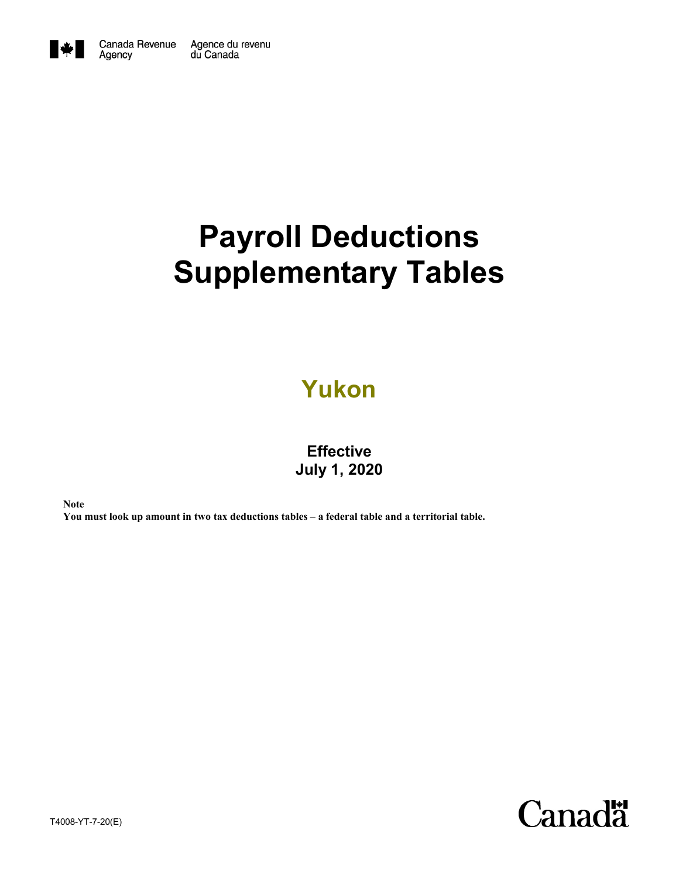

Agency

# **Payroll Deductions Supplementary Tables**

## **Yukon**

### **Effective July 1, 2020**

**Note**

**You must look up amount in two tax deductions tables – a federal table and a territorial table.**

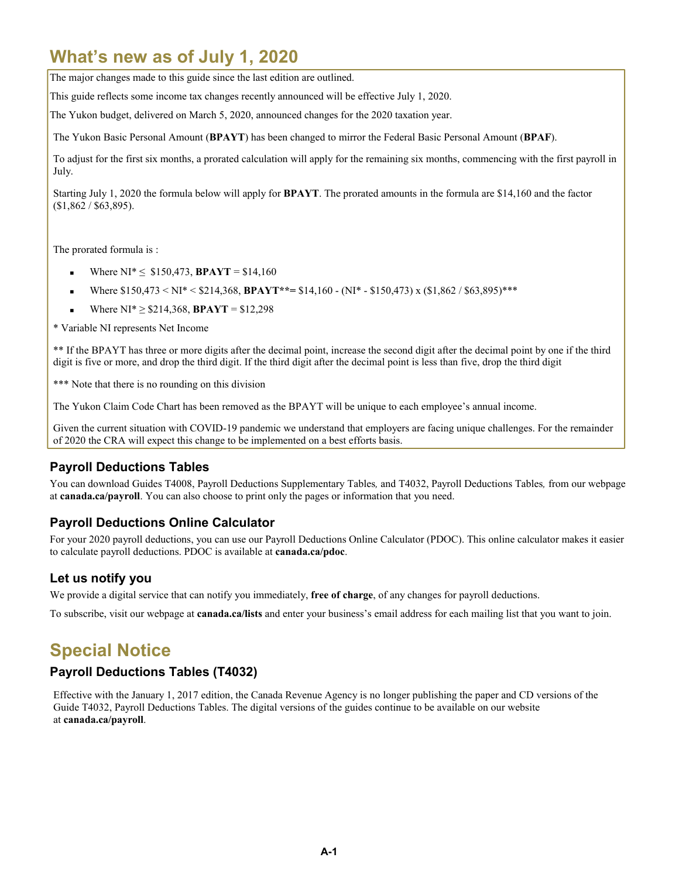### **What's new as of July 1, 2020**

The major changes made to this guide since the last edition are outlined.

This guide reflects some income tax changes recently announced will be effective July 1, 2020.

The Yukon budget, delivered on March 5, 2020, announced changes for the 2020 taxation year.

The Yukon Basic Personal Amount (**BPAYT**) has been changed to mirror the Federal Basic Personal Amount (**BPAF**).

To adjust for the first six months, a prorated calculation will apply for the remaining six months, commencing with the first payroll in July.

Starting July 1, 2020 the formula below will apply for **BPAYT**. The prorated amounts in the formula are \$14,160 and the factor  $(1,862 / 563,895)$ .

The prorated formula is :

- Where  $NI^* \leq $150,473$ , **BPAYT** = \$14,160
- Where  $$150,473 \leq N1^* \leq $214,368$ , **BPAYT**\*\*=  $$14,160 \cdot (N1^* $150,473)$  x (\$1,862 / \$63,895)<sup>\*\*\*</sup>
- Where NI\* ≥ \$214,368, **BPAYT** = \$12,298

\* Variable NI represents Net Income

\*\* If the BPAYT has three or more digits after the decimal point, increase the second digit after the decimal point by one if the third digit is five or more, and drop the third digit. If the third digit after the decimal point is less than five, drop the third digit

\*\*\* Note that there is no rounding on this division

The Yukon Claim Code Chart has been removed as the BPAYT will be unique to each employee's annual income.

Given the current situation with COVID-19 pandemic we understand that employers are facing unique challenges. For the remainder of 2020 the CRA will expect this change to be implemented on a best efforts basis.

#### **Payroll Deductions Tables**

You can download Guides T4008, Payroll Deductions Supplementary Tables*,* and T4032, Payroll Deductions Tables*,* from our webpage at **canada.ca/payroll**. You can also choose to print only the pages or information that you need.

#### **Payroll Deductions Online Calculator**

For your 2020 payroll deductions, you can use our Payroll Deductions Online Calculator (PDOC). This online calculator makes it easier to calculate payroll deductions. PDOC is available at **canada.ca/pdoc**.

#### **Let us notify you**

We provide a digital service that can notify you immediately, **free of charge**, of any changes for payroll deductions.

To subscribe, visit our webpage at **canada.ca/lists** and enter your business's email address for each mailing list that you want to join.

### **Special Notice**

#### **Payroll Deductions Tables (T4032)**

Effective with the January 1, 2017 edition, the Canada Revenue Agency is no longer publishing the paper and CD versions of the Guide T4032, Payroll Deductions Tables. The digital versions of the guides continue to be available on our website at **canada.ca/payroll**.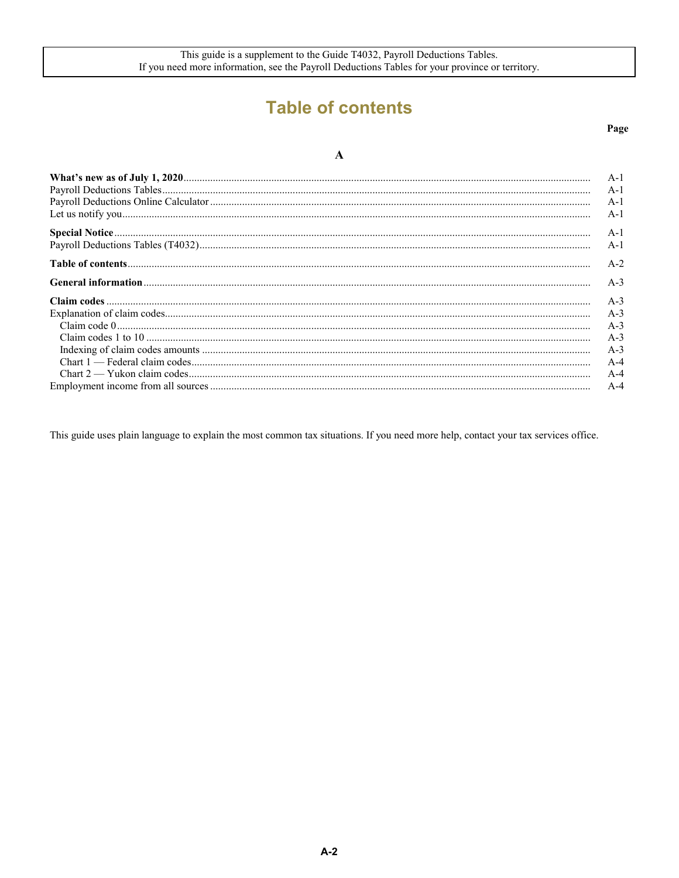### **Table of contents**

#### Page

#### $\boldsymbol{\rm{A}}$

| $A-1$<br>$A-1$<br>$A-1$<br>$A-1$ |
|----------------------------------|
| $A-1$                            |
| $A-1$                            |
| $A-2$                            |
| $A-3$                            |
| $A-3$                            |
| $A-3$                            |
| $A-3$                            |
| $A-3$                            |
| $A-3$                            |
| $A-4$                            |
| $A-4$                            |
| $A-4$                            |

This guide uses plain language to explain the most common tax situations. If you need more help, contact your tax services office.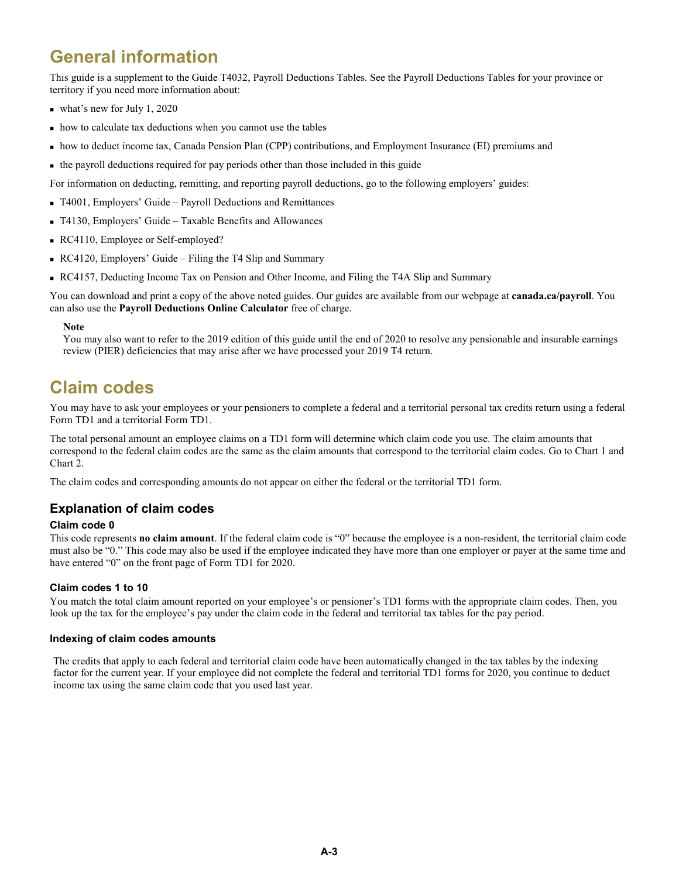### **General information**

This guide is a supplement to the Guide T4032, Payroll Deductions Tables. See the Payroll Deductions Tables for your province or territory if you need more information about:

- what's new for July 1, 2020
- how to calculate tax deductions when you cannot use the tables
- how to deduct income tax, Canada Pension Plan (CPP) contributions, and Employment Insurance (EI) premiums and
- the payroll deductions required for pay periods other than those included in this guide

For information on deducting, remitting, and reporting payroll deductions, go to the following employers' guides:

- T4001, Employers' Guide Payroll Deductions and Remittances
- T4130, Employers' Guide Taxable Benefits and Allowances
- RC4110, Employee or Self-employed?
- RC4120, Employers' Guide Filing the T4 Slip and Summary
- RC4157, Deducting Income Tax on Pension and Other Income, and Filing the T4A Slip and Summary

You can download and print a copy of the above noted guides. Our guides are available from our webpage at **canada.ca/payroll**. You can also use the **Payroll Deductions Online Calculator** free of charge.

#### **Note**

You may also want to refer to the 2019 edition of this guide until the end of 2020 to resolve any pensionable and insurable earnings review (PIER) deficiencies that may arise after we have processed your 2019 T4 return.

### **Claim codes**

You may have to ask your employees or your pensioners to complete a federal and a territorial personal tax credits return using a federal Form TD1 and a territorial Form TD1.

The total personal amount an employee claims on a TD1 form will determine which claim code you use. The claim amounts that correspond to the federal claim codes are the same as the claim amounts that correspond to the territorial claim codes. Go to Chart 1 and Chart 2.

The claim codes and corresponding amounts do not appear on either the federal or the territorial TD1 form.

#### **Explanation of claim codes**

#### **Claim code 0**

This code represents **no claim amount**. If the federal claim code is "0" because the employee is a non-resident, the territorial claim code must also be "0." This code may also be used if the employee indicated they have more than one employer or payer at the same time and have entered "0" on the front page of Form TD1 for 2020.

#### **Claim codes 1 to 10**

You match the total claim amount reported on your employee's or pensioner's TD1 forms with the appropriate claim codes. Then, you look up the tax for the employee's pay under the claim code in the federal and territorial tax tables for the pay period.

#### **Indexing of claim codes amounts**

The credits that apply to each federal and territorial claim code have been automatically changed in the tax tables by the indexing factor for the current year. If your employee did not complete the federal and territorial TD1 forms for 2020, you continue to deduct income tax using the same claim code that you used last year.